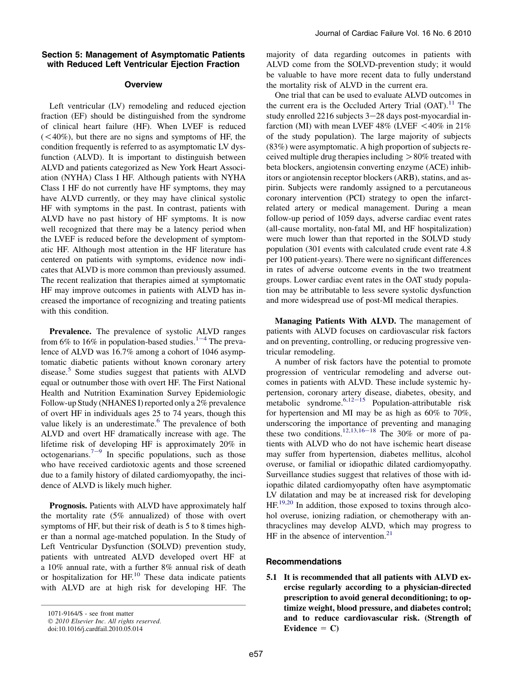# Section 5: Management of Asymptomatic Patients with Reduced Left Ventricular Ejection Fraction

# **Overview**

Left ventricular (LV) remodeling and reduced ejection fraction (EF) should be distinguished from the syndrome of clinical heart failure (HF). When LVEF is reduced  $( $40\%$ ), but there are no signs and symptoms of HF, the$ condition frequently is referred to as asymptomatic LV dysfunction (ALVD). It is important to distinguish between ALVD and patients categorized as New York Heart Association (NYHA) Class I HF. Although patients with NYHA Class I HF do not currently have HF symptoms, they may have ALVD currently, or they may have clinical systolic HF with symptoms in the past. In contrast, patients with ALVD have no past history of HF symptoms. It is now well recognized that there may be a latency period when the LVEF is reduced before the development of symptomatic HF. Although most attention in the HF literature has centered on patients with symptoms, evidence now indicates that ALVD is more common than previously assumed. The recent realization that therapies aimed at symptomatic HF may improve outcomes in patients with ALVD has increased the importance of recognizing and treating patients with this condition.

Prevalence. The prevalence of systolic ALVD ranges from 6% to 16% in population-bas[e](#page-2-0)d studies.<sup>1-4</sup> The prevalence of ALVD was 16.7% among a cohort of 1046 asymptomatic diabetic patients without known coronary artery disease.[5](#page-2-0) Some studies suggest that patients with ALVD equal or outnumber those with overt HF. The First National Health and Nutrition Examination Survey Epidemiologic Follow-up Study (NHANES I) reported only a 2% prevalence of overt HF in individuals ages 25 to 74 years, though this value likely is an underestimate.<sup>[6](#page-2-0)</sup> The prevalence of both ALVD and overt HF dramatically increase with age. The lifetime risk of developing HF is approximately 20% in octog[e](#page-2-0)narians.<sup>7-9</sup> In specific populations, such as those who have received cardiotoxic agents and those screened due to a family history of dilated cardiomyopathy, the incidence of ALVD is likely much higher.

Prognosis. Patients with ALVD have approximately half the mortality rate (5% annualized) of those with overt symptoms of HF, but their risk of death is 5 to 8 times higher than a normal age-matched population. In the Study of Left Ventricular Dysfunction (SOLVD) prevention study, patients with untreated ALVD developed overt HF at a 10% annual rate, with a further 8% annual risk of death or hospitalization for  $HF<sup>10</sup>$ . These data indicate patients with ALVD are at high risk for developing HF. The majority of data regarding outcomes in patients with ALVD come from the SOLVD-prevention study; it would be valuable to have more recent data to fully understand the mortality risk of ALVD in the current era.

One trial that can be used to evaluate ALVD outcomes in the current era is the Occluded Artery Trial  $(OAT)$ .<sup>[11](#page-2-0)</sup> The study enrolled  $2216$  subjects  $3-28$  days post-myocardial infarction (MI) with mean LVEF  $48\%$  (LVEF  $\leq 40\%$  in 21% of the study population). The large majority of subjects (83%) were asymptomatic. A high proportion of subjects received multiple drug therapies including  $> 80\%$  treated with beta blockers, angiotensin converting enzyme (ACE) inhibitors or angiotensin receptor blockers (ARB), statins, and aspirin. Subjects were randomly assigned to a percutaneous coronary intervention (PCI) strategy to open the infarctrelated artery or medical management. During a mean follow-up period of 1059 days, adverse cardiac event rates (all-cause mortality, non-fatal MI, and HF hospitalization) were much lower than that reported in the SOLVD study population (301 events with calculated crude event rate 4.8 per 100 patient-years). There were no significant differences in rates of adverse outcome events in the two treatment groups. Lower cardiac event rates in the OAT study population may be attributable to less severe systolic dysfunction and more widespread use of post-MI medical therapies.

Managing Patients With ALVD. The management of patients with ALVD focuses on cardiovascular risk factors and on preventing, controlling, or reducing progressive ventricular remodeling.

A number of risk factors have the potential to promote progression of ventricular remodeling and adverse outcomes in patients with ALVD. These include systemic hypertension, coronary artery disease, diabetes, obesity, and metabolic syndrome.  $6,12-15$  $6,12-15$  Population-attributable risk for hypertension and MI may be as high as 60% to 70%, underscoring the importance of preventing and managing these two conditions.<sup>[12,13,16](#page-2-0)–18</sup> The 30% or more of patients with ALVD who do not have ischemic heart disease may suffer from hypertension, diabetes mellitus, alcohol overuse, or familial or idiopathic dilated cardiomyopathy. Surveillance studies suggest that relatives of those with idiopathic dilated cardiomyopathy often have asymptomatic LV dilatation and may be at increased risk for developing  $HF<sup>19,20</sup>$  $HF<sup>19,20</sup>$  $HF<sup>19,20</sup>$  In addition, those exposed to toxins through alcohol overuse, ionizing radiation, or chemotherapy with anthracyclines may develop ALVD, which may progress to  $HF$  in the absence of intervention.<sup>[21](#page-2-0)</sup>

# Recommendations

5.1 It is recommended that all patients with ALVD exercise regularly according to a physician-directed prescription to avoid general deconditioning; to optimize weight, blood pressure, and diabetes control; and to reduce cardiovascular risk. (Strength of Evidence  $= C$ )

<sup>1071-9164/\$ -</sup> see front matter

<sup>© 2010</sup> Elsevier Inc. All rights reserved.

doi:10.1016/j.cardfail.2010.05.014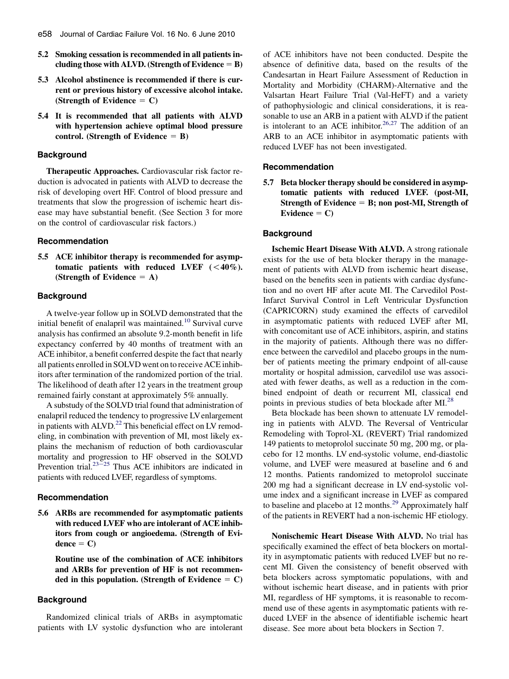- 5.2 Smoking cessation is recommended in all patients including those with ALVD. (Strength of Evidence  $=$  B)
- 5.3 Alcohol abstinence is recommended if there is current or previous history of excessive alcohol intake. (Strength of Evidence  $= C$ )
- 5.4 It is recommended that all patients with ALVD with hypertension achieve optimal blood pressure control. (Strength of Evidence  $=$  B)

## Background

Therapeutic Approaches. Cardiovascular risk factor reduction is advocated in patients with ALVD to decrease the risk of developing overt HF. Control of blood pressure and treatments that slow the progression of ischemic heart disease may have substantial benefit. (See Section 3 for more on the control of cardiovascular risk factors.)

### Recommendation

5.5 ACE inhibitor therapy is recommended for asymptomatic patients with reduced LVEF  $( $40\%$ ).$ (Strength of Evidence  $= A$ )

### **Background**

A twelve-year follow up in SOLVD demonstrated that the initial benefit of enalapril was maintained.<sup>[10](#page-2-0)</sup> Survival curve analysis has confirmed an absolute 9.2-month benefit in life expectancy conferred by 40 months of treatment with an ACE inhibitor, a benefit conferred despite the fact that nearly all patients enrolled in SOLVD went on to receive ACE inhibitors after termination of the randomized portion of the trial. The likelihood of death after 12 years in the treatment group remained fairly constant at approximately 5% annually.

A substudy of the SOLVD trial found that administration of enalapril reduced the tendency to progressive LVenlargement in patients with ALVD.<sup>[22](#page-2-0)</sup> This beneficial effect on LV remodeling, in combination with prevention of MI, most likely explains the mechanism of reduction of both cardiovascular mortality and progression to HF observed in the SOLVD Prevention trial. $23\frac{23}{25}$  Thus ACE inhibitors are indicated in patients with reduced LVEF, regardless of symptoms.

#### Recommendation

5.6 ARBs are recommended for asymptomatic patients with reduced LVEF who are intolerant of ACE inhibitors from cough or angioedema. (Strength of Evi $dence = C$ 

Routine use of the combination of ACE inhibitors and ARBs for prevention of HF is not recommended in this population. (Strength of Evidence  $= C$ )

## **Background**

Randomized clinical trials of ARBs in asymptomatic patients with LV systolic dysfunction who are intolerant of ACE inhibitors have not been conducted. Despite the absence of definitive data, based on the results of the Candesartan in Heart Failure Assessment of Reduction in Mortality and Morbidity (CHARM)-Alternative and the Valsartan Heart Failure Trial (Val-HeFT) and a variety of pathophysiologic and clinical considerations, it is reasonable to use an ARB in a patient with ALVD if the patient is intolerant to an ACE inhibitor.<sup>[26,27](#page-2-0)</sup> The addition of an ARB to an ACE inhibitor in asymptomatic patients with reduced LVEF has not been investigated.

#### Recommendation

5.7 Beta blocker therapy should be considered in asymptomatic patients with reduced LVEF. (post-MI, Strength of Evidence  $=$  B; non post-MI, Strength of Evidence  $= C$ )

### **Background**

Ischemic Heart Disease With ALVD. A strong rationale exists for the use of beta blocker therapy in the management of patients with ALVD from ischemic heart disease, based on the benefits seen in patients with cardiac dysfunction and no overt HF after acute MI. The Carvedilol Post-Infarct Survival Control in Left Ventricular Dysfunction (CAPRICORN) study examined the effects of carvedilol in asymptomatic patients with reduced LVEF after MI, with concomitant use of ACE inhibitors, aspirin, and statins in the majority of patients. Although there was no difference between the carvedilol and placebo groups in the number of patients meeting the primary endpoint of all-cause mortality or hospital admission, carvedilol use was associated with fewer deaths, as well as a reduction in the combined endpoint of death or recurrent MI, classical end points in previous studies of beta blockade after MI.[28](#page-2-0)

Beta blockade has been shown to attenuate LV remodeling in patients with ALVD. The Reversal of Ventricular Remodeling with Toprol-XL (REVERT) Trial randomized 149 patients to metoprolol succinate 50 mg, 200 mg, or placebo for 12 months. LV end-systolic volume, end-diastolic volume, and LVEF were measured at baseline and 6 and 12 months. Patients randomized to metoprolol succinate 200 mg had a significant decrease in LV end-systolic volume index and a significant increase in LVEF as compared to baseline and placebo at 12 months.<sup>[29](#page-2-0)</sup> Approximately half of the patients in REVERT had a non-ischemic HF etiology.

Nonischemic Heart Disease With ALVD. No trial has specifically examined the effect of beta blockers on mortality in asymptomatic patients with reduced LVEF but no recent MI. Given the consistency of benefit observed with beta blockers across symptomatic populations, with and without ischemic heart disease, and in patients with prior MI, regardless of HF symptoms, it is reasonable to recommend use of these agents in asymptomatic patients with reduced LVEF in the absence of identifiable ischemic heart disease. See more about beta blockers in Section 7.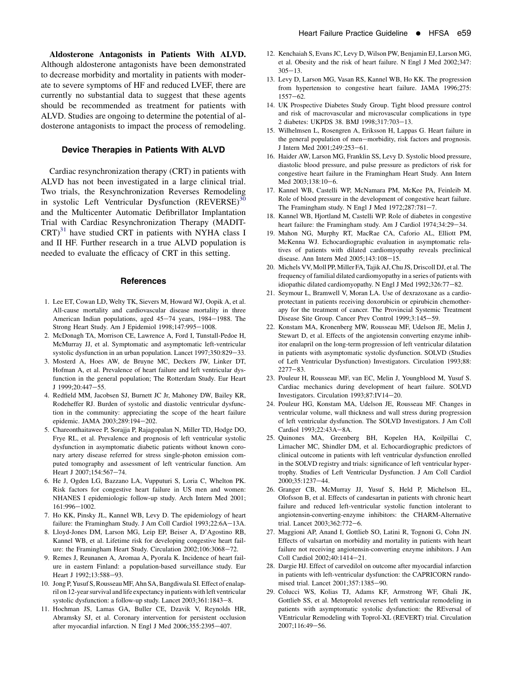<span id="page-2-0"></span>Aldosterone Antagonists in Patients With ALVD. Although aldosterone antagonists have been demonstrated to decrease morbidity and mortality in patients with moderate to severe symptoms of HF and reduced LVEF, there are currently no substantial data to suggest that these agents should be recommended as treatment for patients with ALVD. Studies are ongoing to determine the potential of aldosterone antagonists to impact the process of remodeling.

## Device Therapies in Patients With ALVD

Cardiac resynchronization therapy (CRT) in patients with ALVD has not been investigated in a large clinical trial. Two trials, the Resynchronization Reverses Remodeling in systolic Left Ventricular Dysfunction  $(REVERSE)^{30}$  $(REVERSE)^{30}$  $(REVERSE)^{30}$ and the Multicenter Automatic Defibrillator Implantation Trial with Cardiac Resynchronization Therapy (MADIT- $CRT$ <sup>[31](#page-3-0)</sup> have studied CRT in patients with NYHA class I and II HF. Further research in a true ALVD population is needed to evaluate the efficacy of CRT in this setting.

#### **References**

- 1. Lee ET, Cowan LD, Welty TK, Sievers M, Howard WJ, Oopik A, et al. All-cause mortality and cardiovascular disease mortality in three American Indian populations, aged 45-74 years, 1984-1988. The Strong Heart Study. Am J Epidemiol 1998;147:995-1008.
- 2. McDonagh TA, Morrison CE, Lawrence A, Ford I, Tunstall-Pedoe H, McMurray JJ, et al. Symptomatic and asymptomatic left-ventricular systolic dysfunction in an urban population. Lancet 1997;350:829-33.
- 3. Mosterd A, Hoes AW, de Bruyne MC, Deckers JW, Linker DT, Hofman A, et al. Prevalence of heart failure and left ventricular dysfunction in the general population; The Rotterdam Study. Eur Heart J 1999;20:447-55.
- 4. Redfield MM, Jacobsen SJ, Burnett JC Jr, Mahoney DW, Bailey KR, Rodeheffer RJ. Burden of systolic and diastolic ventricular dysfunction in the community: appreciating the scope of the heart failure epidemic. JAMA 2003;289:194-202.
- 5. Chareonthaitawee P, Sorajja P, Rajagopalan N, Miller TD, Hodge DO, Frye RL, et al. Prevalence and prognosis of left ventricular systolic dysfunction in asymptomatic diabetic patients without known coronary artery disease referred for stress single-photon emission computed tomography and assessment of left ventricular function. Am Heart J 2007;154:567-74.
- 6. He J, Ogden LG, Bazzano LA, Vupputuri S, Loria C, Whelton PK. Risk factors for congestive heart failure in US men and women: NHANES I epidemiologic follow-up study. Arch Intern Med 2001; 161:996-1002.
- 7. Ho KK, Pinsky JL, Kannel WB, Levy D. The epidemiology of heart failure: the Framingham Study. J Am Coll Cardiol 1993;22:6A-13A.
- 8. Lloyd-Jones DM, Larson MG, Leip EP, Beiser A, D'Agostino RB, Kannel WB, et al. Lifetime risk for developing congestive heart failure: the Framingham Heart Study. Circulation 2002;106:3068-72.
- 9. Remes J, Reunanen A, Aromaa A, Pyorala K. Incidence of heart failure in eastern Finland: a population-based surveillance study. Eur Heart J 1992;13:588-93.
- 10. Jong P, Yusuf S, Rousseau MF, Ahn SA, Bangdiwala SI. Effect of enalapril on 12-year survival andlife expectancy in patients withleft ventricular systolic dysfunction: a follow-up study. Lancet 2003;361:1843-8.
- 11. Hochman JS, Lamas GA, Buller CE, Dzavik V, Reynolds HR, Abramsky SJ, et al. Coronary intervention for persistent occlusion after myocardial infarction. N Engl J Med 2006;355:2395-407.
- 12. Kenchaiah S, Evans JC, Levy D, Wilson PW, Benjamin EJ, Larson MG, et al. Obesity and the risk of heart failure. N Engl J Med 2002;347:  $305 - 13$ .
- 13. Levy D, Larson MG, Vasan RS, Kannel WB, Ho KK. The progression from hypertension to congestive heart failure. JAMA 1996;275:  $1557 - 62.$
- 14. UK Prospective Diabetes Study Group. Tight blood pressure control and risk of macrovascular and microvascular complications in type 2 diabetes: UKPDS 38. BMJ 1998;317:703-13.
- 15. Wilhelmsen L, Rosengren A, Eriksson H, Lappas G. Heart failure in the general population of men-morbidity, risk factors and prognosis. J Intern Med 2001;249:253-61.
- 16. Haider AW, Larson MG, Franklin SS, Levy D. Systolic blood pressure, diastolic blood pressure, and pulse pressure as predictors of risk for congestive heart failure in the Framingham Heart Study. Ann Intern Med 2003:138:10-6.
- 17. Kannel WB, Castelli WP, McNamara PM, McKee PA, Feinleib M. Role of blood pressure in the development of congestive heart failure. The Framingham study. N Engl J Med  $1972;287:781-7$ .
- 18. Kannel WB, Hjortland M, Castelli WP. Role of diabetes in congestive heart failure: the Framingham study. Am J Cardiol 1974;34:29-34.
- 19. Mahon NG, Murphy RT, MacRae CA, Caforio AL, Elliott PM, McKenna WJ. Echocardiographic evaluation in asymptomatic relatives of patients with dilated cardiomyopathy reveals preclinical disease. Ann Intern Med 2005;143:108-15.
- 20. Michels VV, Moll PP, Miller FA, Tajik AJ, Chu JS, Driscoll DJ, et al. The frequency of familial dilated cardiomyopathy in a series of patients with idiopathic dilated cardiomyopathy. N Engl J Med 1992;326:77-82.
- 21. Seymour L, Bramwell V, Moran LA. Use of dexrazoxane as a cardioprotectant in patients receiving doxorubicin or epirubicin chemotherapy for the treatment of cancer. The Provincial Systemic Treatment Disease Site Group. Cancer Prev Control 1999;3:145-59.
- 22. Konstam MA, Kronenberg MW, Rousseau MF, Udelson JE, Melin J, Stewart D, et al. Effects of the angiotensin converting enzyme inhibitor enalapril on the long-term progression of left ventricular dilatation in patients with asymptomatic systolic dysfunction. SOLVD (Studies of Left Ventricular Dysfunction) Investigators. Circulation 1993;88:  $2277 - 83$ .
- 23. Pouleur H, Rousseau MF, van EC, Melin J, Youngblood M, Yusuf S. Cardiac mechanics during development of heart failure. SOLVD Investigators. Circulation 1993;87:IV14-20.
- 24. Pouleur HG, Konstam MA, Udelson JE, Rousseau MF. Changes in ventricular volume, wall thickness and wall stress during progression of left ventricular dysfunction. The SOLVD Investigators. J Am Coll Cardiol 1993;22:43A-8A.
- 25. Quinones MA, Greenberg BH, Kopelen HA, Koilpillai C, Limacher MC, Shindler DM, et al. Echocardiographic predictors of clinical outcome in patients with left ventricular dysfunction enrolled in the SOLVD registry and trials: significance of left ventricular hypertrophy. Studies of Left Ventricular Dysfunction. J Am Coll Cardiol 2000;35:1237-44.
- 26. Granger CB, McMurray JJ, Yusuf S, Held P, Michelson EL, Olofsson B, et al. Effects of candesartan in patients with chronic heart failure and reduced left-ventricular systolic function intolerant to angiotensin-converting-enzyme inhibitors: the CHARM-Alternative trial. Lancet 2003;362:772-6.
- 27. Maggioni AP, Anand I, Gottlieb SO, Latini R, Tognoni G, Cohn JN. Effects of valsartan on morbidity and mortality in patients with heart failure not receiving angiotensin-converting enzyme inhibitors. J Am Coll Cardiol 2002;40:1414-21.
- 28. Dargie HJ. Effect of carvedilol on outcome after myocardial infarction in patients with left-ventricular dysfunction: the CAPRICORN randomised trial. Lancet 2001;357:1385-90.
- 29. Colucci WS, Kolias TJ, Adams KF, Armstrong WF, Ghali JK, Gottlieb SS, et al. Metoprolol reverses left ventricular remodeling in patients with asymptomatic systolic dysfunction: the REversal of VEntricular Remodeling with Toprol-XL (REVERT) trial. Circulation 2007;116:49-56.